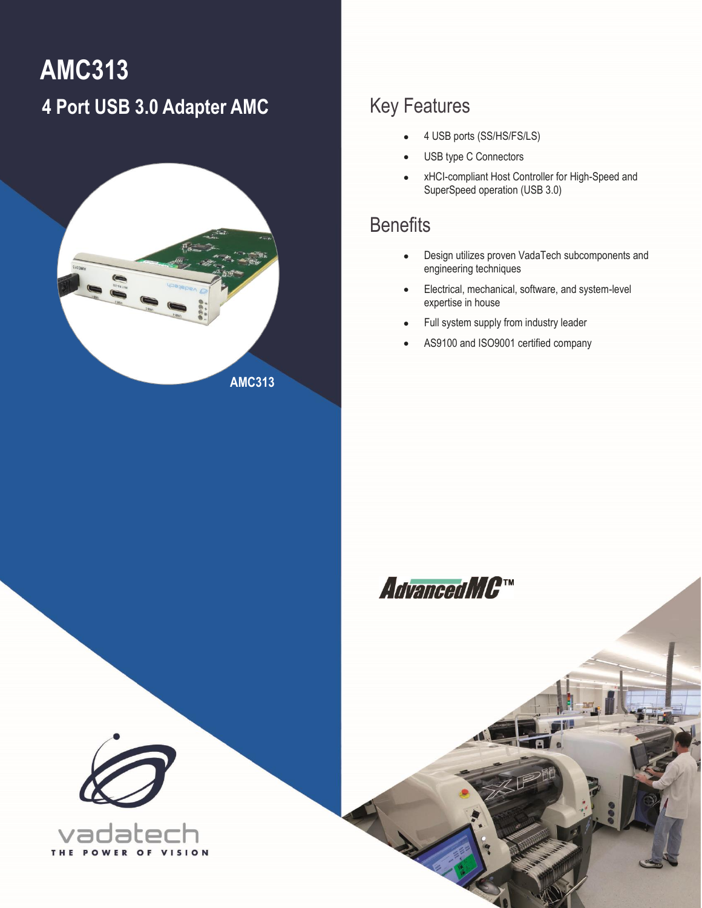# <span id="page-0-0"></span>**AMC313 4 Port USB 3.0 Adapter AMC**



### Key Features

- 4 USB ports (SS/HS/FS/LS)
- USB type C Connectors
- xHCI-compliant Host Controller for High-Speed and SuperSpeed operation (USB 3.0)

### **Benefits**

- Design utilizes proven VadaTech subcomponents and engineering techniques
- Electrical, mechanical, software, and system-level expertise in house
- Full system supply from industry leader
- AS9100 and ISO9001 certified company



1 [AMC313](#page-0-0) – 4 Port USB 3.0 Adapter, AMC **[info@vadatech.com](mailto:info@vadatech.com) [| www.vadatech.com](file:///C:/SVN/Datasheets/FMCs/FMC220/Trunk/www.vadatech.com)**



THE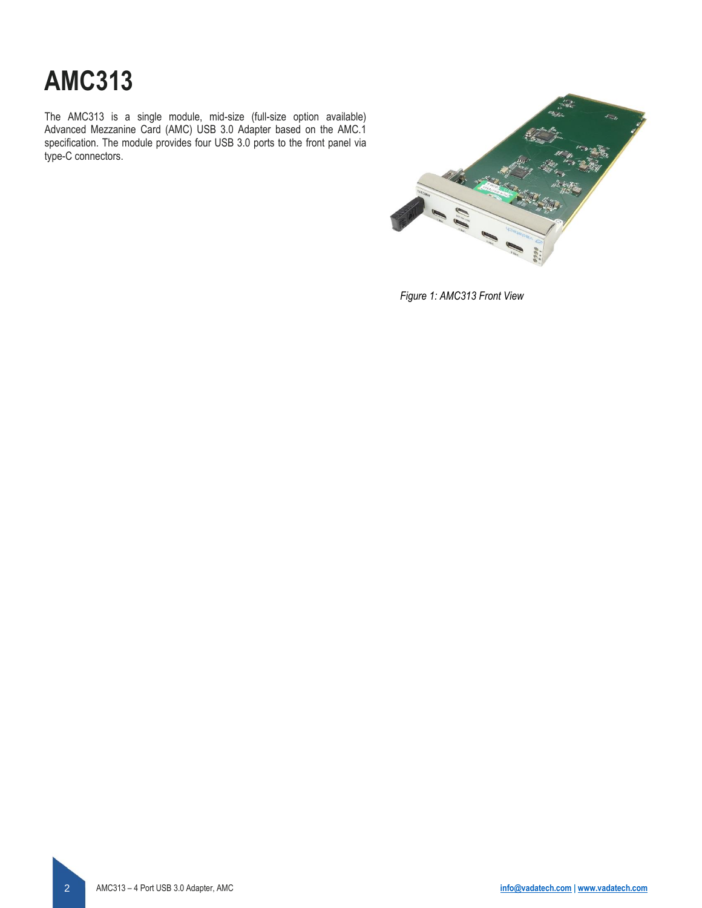# **[AMC313](#page-0-0)**

The AMC313 is a single module, mid-size (full-size option available) Advanced Mezzanine Card (AMC) USB 3.0 Adapter based on the AMC.1 specification. The module provides four USB 3.0 ports to the front panel via type-C connectors.



*Figure 1: AMC313 Front View*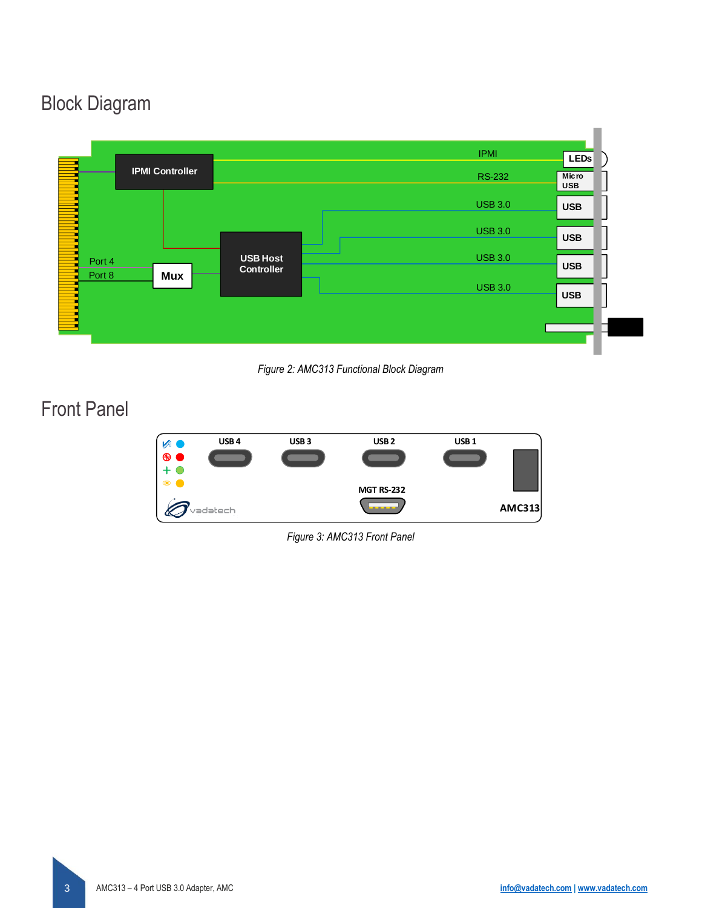### Block Diagram



*Figure 2: AMC313 Functional Block Diagram*

### Front Panel



*Figure 3: AMC313 Front Panel*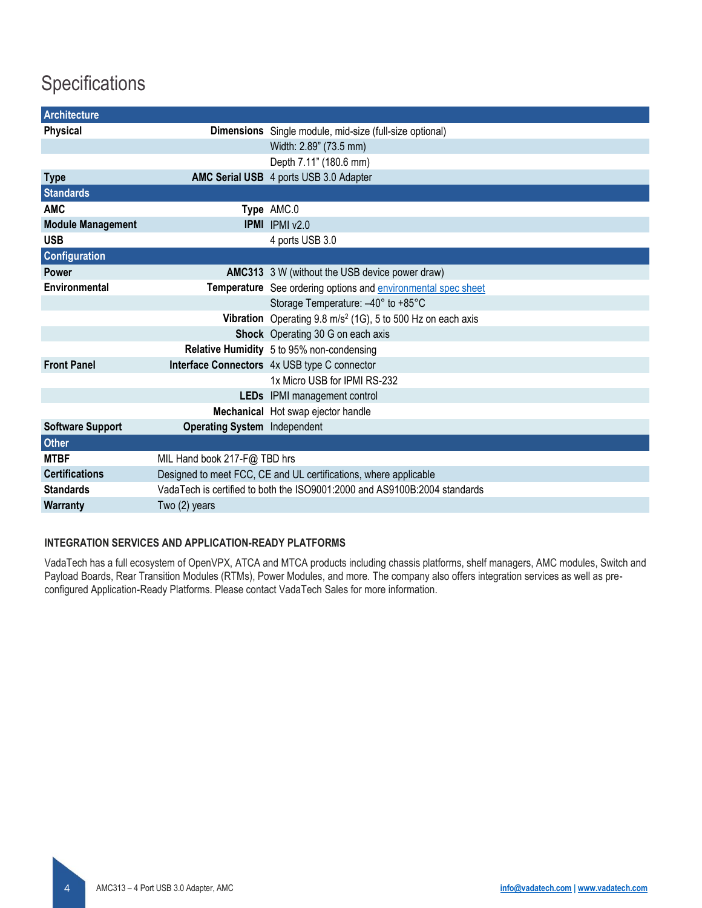### **Specifications**

| <b>Architecture</b>      |                                                                           |                                                                        |  |
|--------------------------|---------------------------------------------------------------------------|------------------------------------------------------------------------|--|
| Physical                 |                                                                           | Dimensions Single module, mid-size (full-size optional)                |  |
|                          |                                                                           | Width: 2.89" (73.5 mm)                                                 |  |
|                          |                                                                           | Depth 7.11" (180.6 mm)                                                 |  |
| <b>Type</b>              |                                                                           | AMC Serial USB 4 ports USB 3.0 Adapter                                 |  |
| <b>Standards</b>         |                                                                           |                                                                        |  |
| <b>AMC</b>               |                                                                           | Type AMC.0                                                             |  |
| <b>Module Management</b> |                                                                           | <b>IPMI</b> IPMI v2.0                                                  |  |
| <b>USB</b>               |                                                                           | 4 ports USB 3.0                                                        |  |
| Configuration            |                                                                           |                                                                        |  |
| <b>Power</b>             |                                                                           | <b>AMC313</b> 3 W (without the USB device power draw)                  |  |
| Environmental            |                                                                           | Temperature See ordering options and environmental spec sheet          |  |
|                          |                                                                           | Storage Temperature: -40° to +85°C                                     |  |
|                          |                                                                           | Vibration Operating $9.8 \text{ m/s}^2$ (1G), 5 to 500 Hz on each axis |  |
|                          |                                                                           | Shock Operating 30 G on each axis                                      |  |
|                          |                                                                           | Relative Humidity 5 to 95% non-condensing                              |  |
| <b>Front Panel</b>       |                                                                           | Interface Connectors 4x USB type C connector                           |  |
|                          |                                                                           | 1x Micro USB for IPMI RS-232                                           |  |
|                          |                                                                           | LEDs IPMI management control                                           |  |
|                          |                                                                           | Mechanical Hot swap ejector handle                                     |  |
| <b>Software Support</b>  | <b>Operating System Independent</b>                                       |                                                                        |  |
| <b>Other</b>             |                                                                           |                                                                        |  |
| <b>MTBF</b>              | MIL Hand book 217-F@ TBD hrs                                              |                                                                        |  |
| <b>Certifications</b>    | Designed to meet FCC, CE and UL certifications, where applicable          |                                                                        |  |
| <b>Standards</b>         | VadaTech is certified to both the ISO9001:2000 and AS9100B:2004 standards |                                                                        |  |
| Warranty                 | Two (2) years                                                             |                                                                        |  |

#### **INTEGRATION SERVICES AND APPLICATION-READY PLATFORMS**

VadaTech has a full ecosystem of OpenVPX, ATCA and MTCA products including chassis platforms, shelf managers, AMC modules, Switch and Payload Boards, Rear Transition Modules (RTMs), Power Modules, and more. The company also offers integration services as well as preconfigured Application-Ready Platforms. Please contact VadaTech Sales for more information.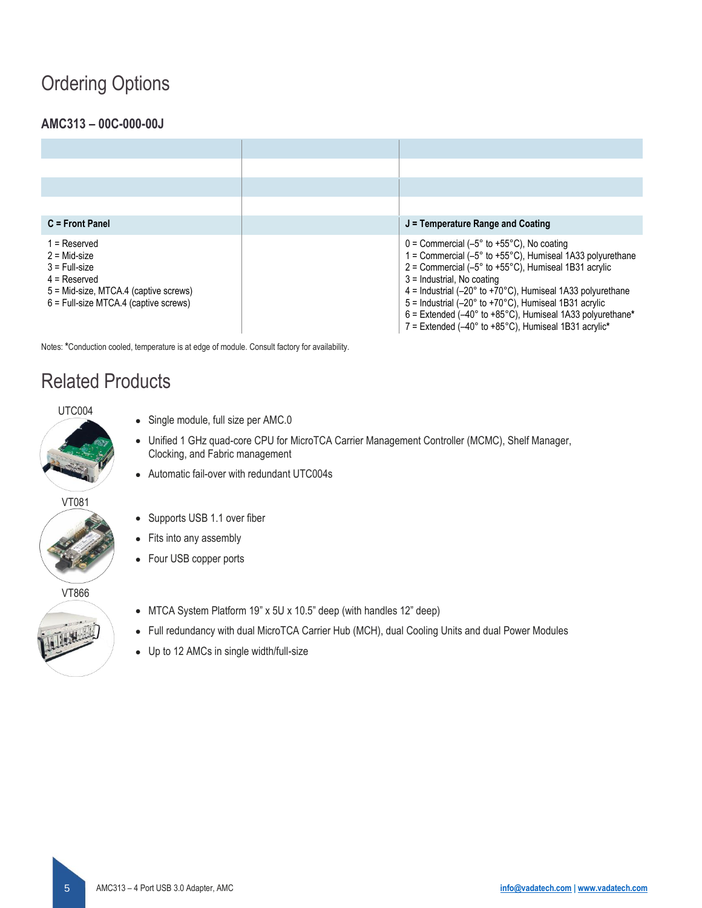### Ordering Options

#### **AMC313 – 00C-000-00J**

| $C =$ Front Panel                                                                                                                                         | $J =$ Temperature Range and Coating                                                                                                                                                                                                                                                                                                                                                                                                                                                                                                                                    |
|-----------------------------------------------------------------------------------------------------------------------------------------------------------|------------------------------------------------------------------------------------------------------------------------------------------------------------------------------------------------------------------------------------------------------------------------------------------------------------------------------------------------------------------------------------------------------------------------------------------------------------------------------------------------------------------------------------------------------------------------|
| $1 =$ Reserved<br>$2 = Mid-size$<br>$3$ = Full-size<br>$4 =$ Reserved<br>5 = Mid-size, MTCA.4 (captive screws)<br>$6$ = Full-size MTCA.4 (captive screws) | $0 =$ Commercial (-5 $\degree$ to +55 $\degree$ C). No coating<br>1 = Commercial ( $-5^{\circ}$ to +55 $^{\circ}$ C), Humiseal 1A33 polyurethane<br>$2$ = Commercial (-5 $\degree$ to +55 $\degree$ C), Humiseal 1B31 acrylic<br>3 = Industrial. No coating<br>$4$ = Industrial (-20 $\degree$ to +70 $\degree$ C), Humiseal 1A33 polyurethane<br>$5 =$ Industrial (-20 $\degree$ to +70 $\degree$ C). Humiseal 1B31 acrylic<br>$6$ = Extended (-40 $\degree$ to +85 $\degree$ C). Humiseal 1A33 polyurethane*<br>7 = Extended (-40° to +85°C), Humiseal 1B31 acrylic* |

Notes: **\***Conduction cooled, temperature is at edge of module. Consult factory for availability.

### Related Products

#### UTC004

• Single module, full size per AMC.0

• Supports USB 1.1 over fiber

• Fits into any assembly • Four USB copper ports

- Unified 1 GHz quad-core CPU for MicroTCA Carrier Management Controller (MCMC), Shelf Manager, Clocking, and Fabric management
- Automatic fail-over with redundant UTC004s

#### VT081



VT866



- 
- MTCA System Platform 19" x 5U x 10.5" deep (with handles 12" deep)
- Full redundancy with dual MicroTCA Carrier Hub (MCH), dual Cooling Units and dual Power Modules
- Up to 12 AMCs in single width/full-size